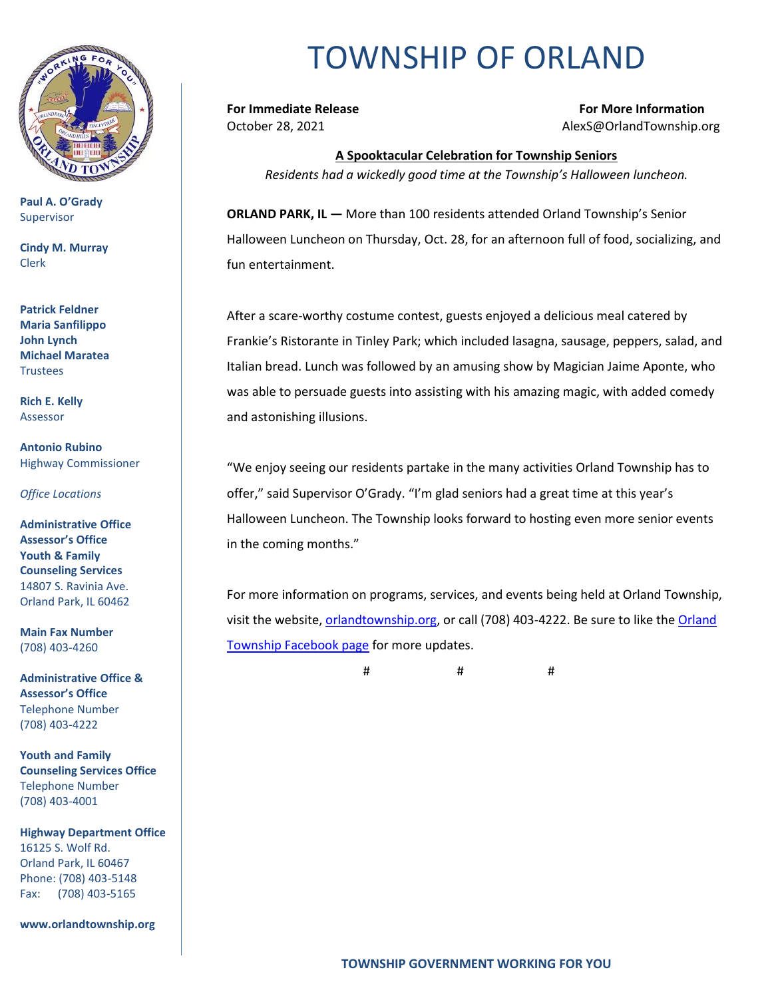

**Paul A. O'Grady** Supervisor

**Cindy M. Murray** Clerk

**Patrick Feldner Maria Sanfilippo John Lynch Michael Maratea Trustees** 

**Rich E. Kelly** Assessor

**Antonio Rubino** Highway Commissioner

*Office Locations*

**Administrative Office Assessor's Office Youth & Family Counseling Services** 14807 S. Ravinia Ave. Orland Park, IL 60462

**Main Fax Number**  (708) 403-4260

**Administrative Office & Assessor's Office**  Telephone Number (708) 403-4222

**Youth and Family Counseling Services Office**  Telephone Number (708) 403-4001

**Highway Department Office** 16125 S. Wolf Rd. Orland Park, IL 60467 Phone: (708) 403-5148 Fax: (708) 403-5165

**www.orlandtownship.org**

## TOWNSHIP OF ORLAND

**For Immediate Release For More Information** October 28, 2021 AlexS@OrlandTownship.org

**A Spooktacular Celebration for Township Seniors** *Residents had a wickedly good time at the Township's Halloween luncheon.*

**ORLAND PARK, IL —** More than 100 residents attended Orland Township's Senior Halloween Luncheon on Thursday, Oct. 28, for an afternoon full of food, socializing, and fun entertainment.

After a scare-worthy costume contest, guests enjoyed a delicious meal catered by Frankie's Ristorante in Tinley Park; which included lasagna, sausage, peppers, salad, and Italian bread. Lunch was followed by an amusing show by Magician Jaime Aponte, who was able to persuade guests into assisting with his amazing magic, with added comedy and astonishing illusions.

"We enjoy seeing our residents partake in the many activities Orland Township has to offer," said Supervisor O'Grady. "I'm glad seniors had a great time at this year's Halloween Luncheon. The Township looks forward to hosting even more senior events in the coming months."

For more information on programs, services, and events being held at Orland Township, visit the website, [orlandtownship.org,](http://www.orlandtownship.org/) or call (708) 403-4222. Be sure to like the [Orland](https://www.facebook.com/OrlandTownshipIL/)  [Township Facebook page](https://www.facebook.com/OrlandTownshipIL/) for more updates.

# # #